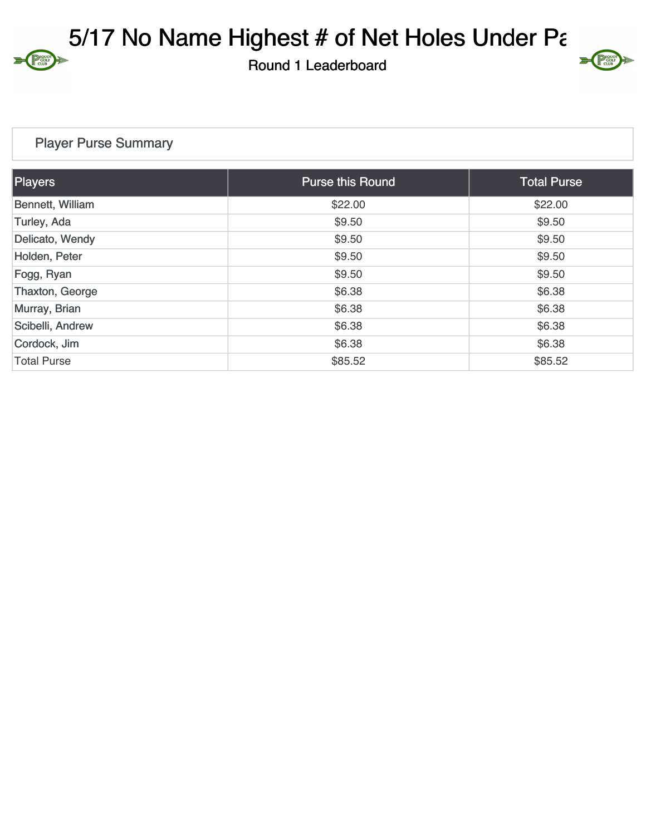5/17 No Name Highest  $#$  of Net Holes Under Part

Round 1 Leaderboard

## $\sum$

## Player Purse Summary

Proudi

| Players            | <b>Purse this Round</b> | <b>Total Purse</b> |
|--------------------|-------------------------|--------------------|
| Bennett, William   | \$22.00                 | \$22.00            |
| Turley, Ada        | \$9.50                  | \$9.50             |
| Delicato, Wendy    | \$9.50                  | \$9.50             |
| Holden, Peter      | \$9.50                  | \$9.50             |
| Fogg, Ryan         | \$9.50                  | \$9.50             |
| Thaxton, George    | \$6.38                  | \$6.38             |
| Murray, Brian      | \$6.38                  | \$6.38             |
| Scibelli, Andrew   | \$6.38                  | \$6.38             |
| Cordock, Jim       | \$6.38                  | \$6.38             |
| <b>Total Purse</b> | \$85.52                 | \$85.52            |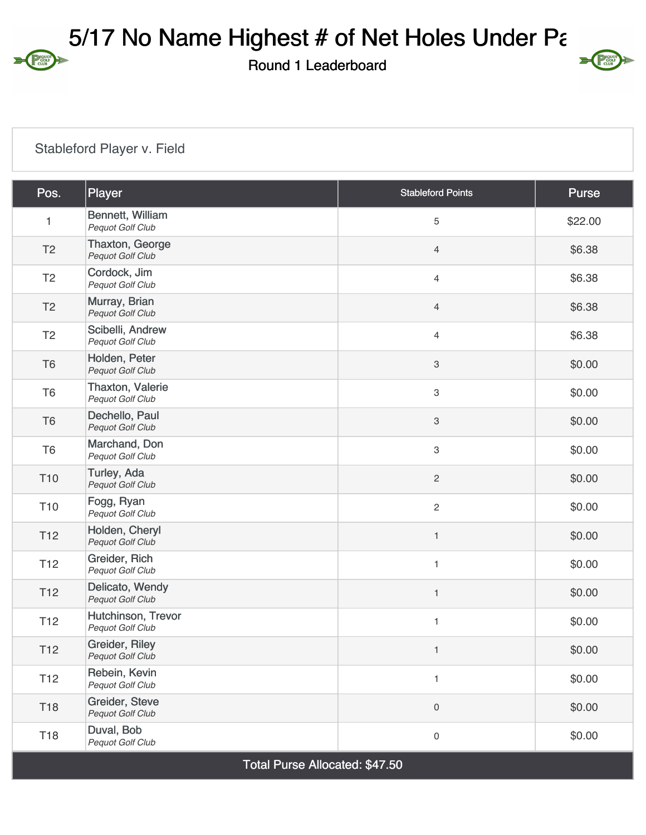5/17 No Name Highest  $#$  of Net Holes Under Part

Round 1 Leaderboard



## Stableford Player v. Field

Proudi

| Pos.            | Player                                     | <b>Stableford Points</b> | Purse   |
|-----------------|--------------------------------------------|--------------------------|---------|
| 1               | Bennett, William<br>Pequot Golf Club       | 5                        | \$22.00 |
| T <sub>2</sub>  | Thaxton, George<br>Pequot Golf Club        | 4                        | \$6.38  |
| T <sub>2</sub>  | Cordock, Jim<br>Pequot Golf Club           | 4                        | \$6.38  |
| T <sub>2</sub>  | Murray, Brian<br>Pequot Golf Club          | $\overline{4}$           | \$6.38  |
| T <sub>2</sub>  | Scibelli, Andrew<br>Pequot Golf Club       | 4                        | \$6.38  |
| T <sub>6</sub>  | Holden, Peter<br>Pequot Golf Club          | 3                        | \$0.00  |
| T <sub>6</sub>  | Thaxton, Valerie<br>Pequot Golf Club       | 3                        | \$0.00  |
| T <sub>6</sub>  | Dechello, Paul<br>Pequot Golf Club         | 3                        | \$0.00  |
| T <sub>6</sub>  | Marchand, Don<br>Pequot Golf Club          | 3                        | \$0.00  |
| T <sub>10</sub> | Turley, Ada<br>Pequot Golf Club            | $\mathbf{2}$             | \$0.00  |
| T <sub>10</sub> | Fogg, Ryan<br>Pequot Golf Club             | $\mathbf{2}$             | \$0.00  |
| T <sub>12</sub> | Holden, Cheryl<br>Pequot Golf Club         | $\mathbf{1}$             | \$0.00  |
| T <sub>12</sub> | Greider, Rich<br>Pequot Golf Club          | 1                        | \$0.00  |
| T <sub>12</sub> | Delicato, Wendy<br><b>Pequot Golf Club</b> | $\mathbf{1}$             | \$0.00  |
| T <sub>12</sub> | Hutchinson, Trevor<br>Pequot Golf Club     | 1                        | \$0.00  |
| T <sub>12</sub> | Greider, Riley<br>Pequot Golf Club         | $\mathbf{1}$             | \$0.00  |
| T <sub>12</sub> | Rebein, Kevin<br>Pequot Golf Club          | $\mathbf{1}$             | \$0.00  |
| T <sub>18</sub> | Greider, Steve<br><b>Pequot Golf Club</b>  | 0                        | \$0.00  |
| T18             | Duval, Bob<br>Pequot Golf Club             | 0                        | \$0.00  |

Total Purse Allocated: \$47.50